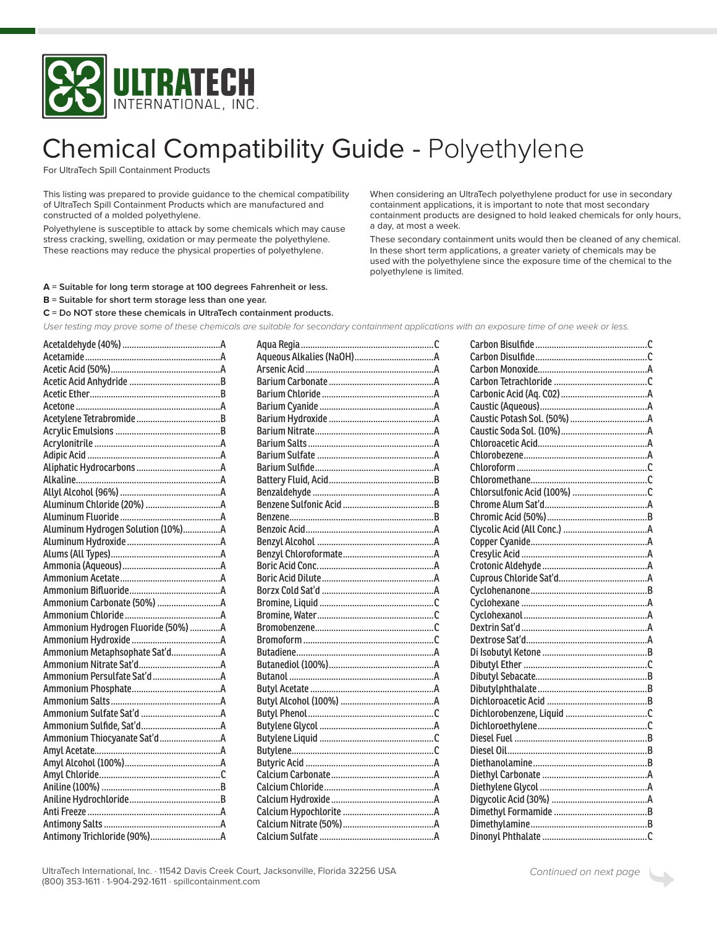

## **Chemical Compatibility Guide - Polyethylene**

For UltraTech Spill Containment Products

This listing was prepared to provide guidance to the chemical compatibility of UltraTech Spill Containment Products which are manufactured and constructed of a molded polyethylene.

Polyethylene is susceptible to attack by some chemicals which may cause stress cracking, swelling, oxidation or may permeate the polyethylene. These reactions may reduce the physical properties of polyethylene.

When considering an UltraTech polyethylene product for use in secondary containment applications, it is important to note that most secondary containment products are designed to hold leaked chemicals for only hours, a day, at most a week.

These secondary containment units would then be cleaned of any chemical. In these short term applications, a greater variety of chemicals may be used with the polyethylene since the exposure time of the chemical to the polyethylene is limited.

- A = Suitable for long term storage at 100 degrees Fahrenheit or less.
- $B$  = Suitable for short term storage less than one year.
- $C = Do$  NOT store these chemicals in UltraTech containment products.

User testing may prove some of these chemicals are suitable for secondary containment applications with an exposure time of one week or less.

| Aluminum Hydrogen Solution (10%)A  |  |
|------------------------------------|--|
|                                    |  |
|                                    |  |
|                                    |  |
|                                    |  |
|                                    |  |
|                                    |  |
|                                    |  |
| Ammonium Hydrogen Fluoride (50%) A |  |
|                                    |  |
| Ammonium Metaphsophate Sat'dA      |  |
|                                    |  |
|                                    |  |
|                                    |  |
|                                    |  |
|                                    |  |
|                                    |  |
|                                    |  |
|                                    |  |
|                                    |  |
|                                    |  |
|                                    |  |
|                                    |  |
|                                    |  |
|                                    |  |
|                                    |  |

 $\rightarrow$